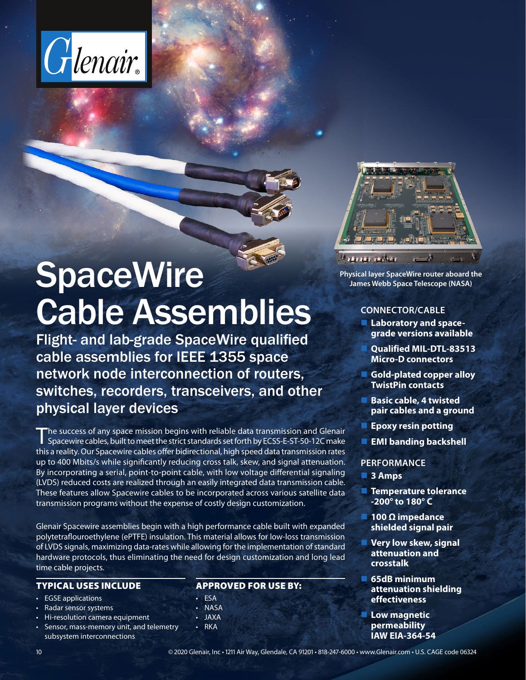



Flight- and lab-grade SpaceWire qualified cable assemblies for IEEE 1355 space network node interconnection of routers, switches, recorders, transceivers, and other physical layer devices

The success of any space mission begins with reliable data transmission and Glenair Spacewire cables, built to meet the strict standards set forth by ECSS-E-ST-50-12C make this a reality. Our Spacewire cables offer bidirectional, high speed data transmission rates up to 400 Mbits/s while significantly reducing cross talk, skew, and signal attenuation. By incorporating a serial, point-to-point cable, with low voltage differential signaling (LVDS) reduced costs are realized through an easily integrated data transmission cable. These features allow Spacewire cables to be incorporated across various satellite data transmission programs without the expense of costly design customization.

Glenair Spacewire assemblies begin with a high performance cable built with expanded polytetraflouroethylene (ePTFE) insulation. This material allows for low-loss transmission of LVDS signals, maximizing data-rates while allowing for the implementation of standard hardware protocols, thus eliminating the need for design customization and long lead time cable projects.

## TYPICAL USES INCLUDE

- **EGSE** applications
- Radar sensor systems
- Hi-resolution camera equipment
- Sensor, mass-memory unit, and telemetry subsystem interconnections

## APPROVED FOR USE BY:

- ESA
- NASA
- JAXA
- 
- RKA



**Physical layer SpaceWire router aboard the James Webb Space Telescope (NASA)**

#### **CONNECTOR/CABLE**

- **Laboratory and spacegrade versions available**
	- **Qualified MIL-DTL-83513 Micro-D connectors**
- **Gold-plated copper alloy TwistPin contacts**
	- **Basic cable, 4 twisted pair cables and a ground**
- **Epoxy resin potting**
- **EMI banding backshell**

#### **PERFORMANCE**

- **3 Amps**
- **Temperature tolerance -200° to 180° C**
- **100 Ω impedance shielded signal pair**
- **Very low skew, signal attenuation and crosstalk**
- **65dB minimum attenuation shielding effectiveness**
- **Low magnetic permeability IAW EIA-364-54**